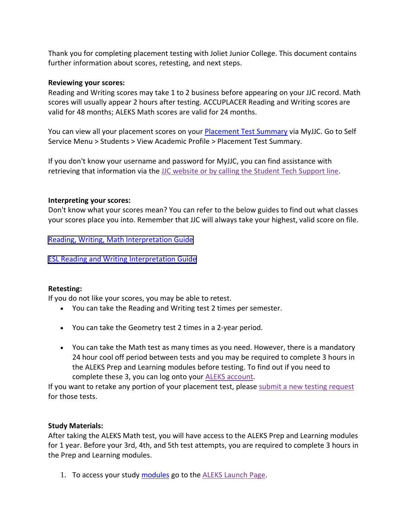Thank you for completing placement testing with Joliet Junior College. This document contains further information about scores, retesting, and next steps.

### **Reviewing your scores:**

Reading and Writing scores may take 1 to 2 business before appearing on your JJC record. Math scores will usually appear 2 hours after testing. ACCUPLACER Reading and Writing scores are valid for 48 months; ALEKS Math scores are valid for 24 months.

You can view all your placement scores on your [Placement Test Summary](http://jjc.edu/myjjc) via MyJJC. Go to Self Service Menu > Students > View Academic Profile > Placement Test Summary.

If you don't know your username and password for MyJJC, you can find assistance with retrieving that information via the JJC website or by calling the Student Tech [Support](https://jjc.edu/getting-started/register-courses/idusernamepassword-help) line.

### **Interpreting your scores:**

Don't know what your scores mean? You can refer to the below guides to find out what classes your scores place you into. Remember that JJC will always take your highest, valid score on file.

[Reading, Writing, Math Interpretation Guide](https://jjc.edu/sites/default/files/Readiness/New%20Interpretation%20Guide%20FINAL_12.7.21.pdf)

[ESL Reading and Writing Interpretation Guide](https://www.jjc.edu/sites/default/files/Readiness/New%20Interpretation%20Guide%20ESL%20Final_08.27.21.pdf)

# **Retesting:**

If you do not like your scores, you may be able to retest.

- You can take the Reading and Writing test 2 times per semester.
- You can take the Geometry test 2 times in a 2-year period.
- You can take the Math test as many times as you need. However, there is a mandatory 24 hour cool off period between tests and you may be required to complete 3 hours in the ALEKS Prep and Learning modules before testing. To find out if you need to complete these 3, you can log onto your ALEKS [account.](https://www.jjc.edu/launch-aleks)

If you want to retake any portion of your placement test, please submit a new testing [request](https://jjc.edu/student-resources/testing-services/placement-testing) for those tests.

# **Study Materials:**

After taking the ALEKS Math test, you will have access to the ALEKS Prep and Learning modules for 1 year. Before your 3rd, 4th, and 5th test attempts, you are required to complete 3 hours in the Prep and Learning modules.

1. To access your study [modules](https://jjc.edu/sites/default/files/Academics/Math/ALEKS%20PPL%20module%20tutorial%20handout%205.10.19.pdf) go to the ALEKS [Launch](https://www.jjc.edu/launch-aleks) Page.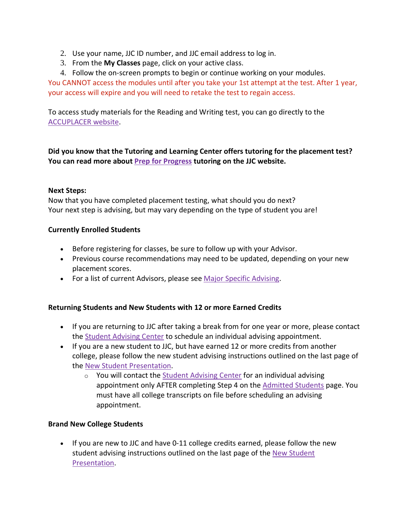- 2. Use your name, JJC ID number, and JJC email address to log in.
- 3. From the **My Classes** page, click on your active class.
- 4. Follow the on-screen prompts to begin or continue working on your modules.

You CANNOT access the modules until after you take your 1st attempt at the test. After 1 year, your access will expire and you will need to retake the test to regain access.

To access study materials for the Reading and Writing test, you can go directly to the [ACCUPLACER](https://accuplacer.collegeboard.org/students/prepare-for-accuplacer/practice) website.

**Did you know that the Tutoring and Learning Center offers tutoring for the placement test? You can read more about Prep for [Progress](https://jjc.edu/student-resources/tutoring-learning-center/test-preparation) tutoring on the JJC website.**

#### **Next Steps:**

Now that you have completed placement testing, what should you do next? Your next step is advising, but may vary depending on the type of student you are!

#### **Currently Enrolled Students**

- Before registering for classes, be sure to follow up with your Advisor.
- Previous course recommendations may need to be updated, depending on your new placement scores.
- For a list of current Advisors, please see Major Specific [Advising.](https://nam03.safelinks.protection.outlook.com/?url=https%3A%2F%2Fmy.jjc.edu%2Fstudent-services%2Fsac%2FPages%2FMajor-Specific-Advising.aspx&data=02%7C01%7Cmbarajas%40jjc.edu%7Cb5875526c2c24867149f08d86705523a%7C581e94de7e2f4d699d5f791d2fb8f31a%7C0%7C0%7C637372619845676090&sdata=ZjWSnbv84tEbjXjP1KELxd4OTu5E0QPcZuCatVa4h2g%3D&reserved=0)

#### **Returning Students and New Students with 12 or more Earned Credits**

- If you are returning to JJC after taking a break from for one year or more, please contact the Student [Advising](https://nam03.safelinks.protection.outlook.com/?url=https%3A%2F%2Fwww.jjc.edu%2Fstudent-resources%2Fstudent-advising-center&data=02%7C01%7Cmbarajas%40jjc.edu%7Cb5875526c2c24867149f08d86705523a%7C581e94de7e2f4d699d5f791d2fb8f31a%7C0%7C0%7C637372619845686044&sdata=QFjwNitW7lazdz%2FGSONB2t5ILXhM7nLdpK9JoDZN1XI%3D&reserved=0) Center to schedule an individual advising appointment.
- If you are a new student to JJC, but have earned 12 or more credits from another college, please follow the new student advising instructions outlined on the last page of the New Student [Presentation.](https://nam03.safelinks.protection.outlook.com/?url=https%3A%2F%2Forientation.jjc.edu%2F&data=02%7C01%7Cmbarajas%40jjc.edu%7Cb5875526c2c24867149f08d86705523a%7C581e94de7e2f4d699d5f791d2fb8f31a%7C0%7C0%7C637372619845686044&sdata=kzyznl9nNcxYnY2d29D1hCsyviw1FMlQq3dnwfZmdvs%3D&reserved=0)
	- o You will contact the Student [Advising](https://nam03.safelinks.protection.outlook.com/?url=https%3A%2F%2Fwww.jjc.edu%2Fstudent-resources%2Fstudent-advising-center&data=02%7C01%7Cmbarajas%40jjc.edu%7Cb5875526c2c24867149f08d86705523a%7C581e94de7e2f4d699d5f791d2fb8f31a%7C0%7C0%7C637372619845686044&sdata=QFjwNitW7lazdz%2FGSONB2t5ILXhM7nLdpK9JoDZN1XI%3D&reserved=0) Center for an individual advising appointment only AFTER completing Step 4 on the [Admitted](https://nam03.safelinks.protection.outlook.com/?url=https%3A%2F%2Fwww.jjc.edu%2Fgetting-started%2Fadmitted-students&data=02%7C01%7Cmbarajas%40jjc.edu%7Cb5875526c2c24867149f08d86705523a%7C581e94de7e2f4d699d5f791d2fb8f31a%7C0%7C0%7C637372619845696001&sdata=hgEawibmO5tisT8iKv2SmJvckcvNjJjjXPCdmCqoz%2B8%3D&reserved=0) Students page. You must have all college transcripts on file before scheduling an advising appointment.

#### **Brand New College Students**

• If you are new to JJC and have 0-11 college credits earned, please follow the new student advising instructions outlined on the last page of the New [Student](https://nam03.safelinks.protection.outlook.com/?url=https%3A%2F%2Forientation.jjc.edu%2F&data=02%7C01%7Cmbarajas%40jjc.edu%7Cb5875526c2c24867149f08d86705523a%7C581e94de7e2f4d699d5f791d2fb8f31a%7C0%7C0%7C637372619845696001&sdata=VZ4FQh%2Bu%2B%2Bhn1Utp4pHq98gL%2FRc0vncjHlXzCgPhKd0%3D&reserved=0) [Presentation.](https://nam03.safelinks.protection.outlook.com/?url=https%3A%2F%2Forientation.jjc.edu%2F&data=02%7C01%7Cmbarajas%40jjc.edu%7Cb5875526c2c24867149f08d86705523a%7C581e94de7e2f4d699d5f791d2fb8f31a%7C0%7C0%7C637372619845696001&sdata=VZ4FQh%2Bu%2B%2Bhn1Utp4pHq98gL%2FRc0vncjHlXzCgPhKd0%3D&reserved=0)